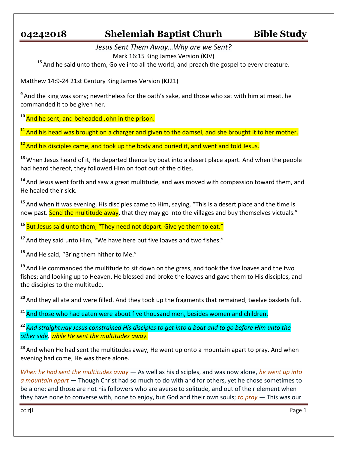## **04242018 Shelemiah Baptist Churh Bible Study**

*Jesus Sent Them Away…Why are we Sent?* Mark 16:15 King James Version (KJV)

**<sup>15</sup>** And he said unto them, Go ye into all the world, and preach the gospel to every creature.

Matthew 14:9-24 21st Century King James Version (KJ21)

**9** And the king was sorry; nevertheless for the oath's sake, and those who sat with him at meat, he commanded it to be given her.

**<sup>10</sup>** And he sent, and beheaded John in the prison.

**<sup>11</sup>** And his head was brought on a charger and given to the damsel, and she brought it to her mother.

**<sup>12</sup>** And his disciples came, and took up the body and buried it, and went and told Jesus.

**<sup>13</sup>** When Jesus heard of it, He departed thence by boat into a desert place apart. And when the people had heard thereof, they followed Him on foot out of the cities.

**<sup>14</sup>** And Jesus went forth and saw a great multitude, and was moved with compassion toward them, and He healed their sick.

**<sup>15</sup>** And when it was evening, His disciples came to Him, saying, "This is a desert place and the time is now past. Send the multitude away, that they may go into the villages and buy themselves victuals."

<sup>16</sup> But Jesus said unto them, "They need not depart. Give ye them to eat."

**<sup>17</sup>** And they said unto Him, "We have here but five loaves and two fishes."

**<sup>18</sup>** And He said, "Bring them hither to Me."

**<sup>19</sup>** And He commanded the multitude to sit down on the grass, and took the five loaves and the two fishes; and looking up to Heaven, He blessed and broke the loaves and gave them to His disciples, and the disciples to the multitude.

**<sup>20</sup>** And they all ate and were filled. And they took up the fragments that remained, twelve baskets full.

**<sup>21</sup>** And those who had eaten were about five thousand men, besides women and children.

**<sup>22</sup>** *And straightway Jesus constrained His disciples to get into a boat and to go before Him unto the other side, while He sent the multitudes away.*

**<sup>23</sup>** And when He had sent the multitudes away, He went up onto a mountain apart to pray. And when evening had come, He was there alone.

*When he had sent the multitudes away* — As well as his disciples, and was now alone, *he went up into a mountain apart* — Though Christ had so much to do with and for others, yet he chose sometimes to be alone; and those are not his followers who are averse to solitude, and out of their element when they have none to converse with, none to enjoy, but God and their own souls; *to pray* — This was our